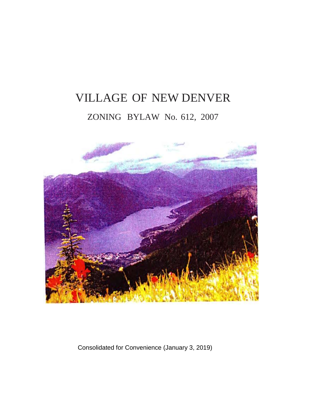# VILLAGE OF NEW DENVER ZONING BYLAW No. 612, 2007



Consolidated for Convenience (January 3, 2019)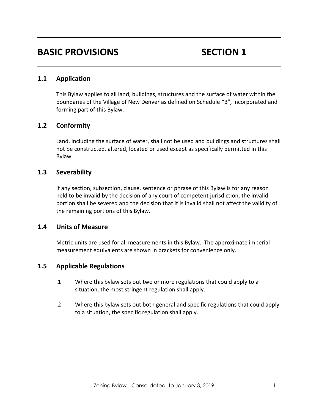# **BASIC PROVISIONS** SECTION 1

# **1.1 Application**

This Bylaw applies to all land, buildings, structures and the surface of water within the boundaries of the Village of New Denver as defined on Schedule "B", incorporated and forming part of this Bylaw.

# **1.2 Conformity**

Land, including the surface of water, shall not be used and buildings and structures shall not be constructed, altered, located or used except as specifically permitted in this Bylaw.

# **1.3 Severability**

If any section, subsection, clause, sentence or phrase of this Bylaw is for any reason held to be invalid by the decision of any court of competent jurisdiction, the invalid portion shall be severed and the decision that it is invalid shall not affect the validity of the remaining portions of this Bylaw.

# **1.4 Units of Measure**

Metric units are used for all measurements in this Bylaw. The approximate imperial measurement equivalents are shown in brackets for convenience only.

# **1.5 Applicable Regulations**

- .1 Where this bylaw sets out two or more regulations that could apply to a situation, the most stringent regulation shall apply.
- .2 Where this bylaw sets out both general and specific regulations that could apply to a situation, the specific regulation shall apply.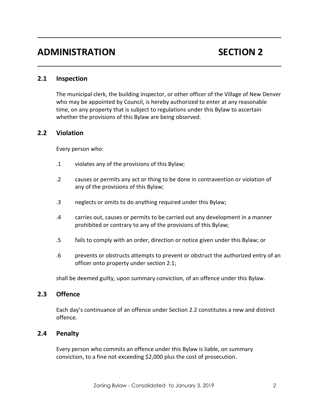# **ADMINISTRATION SECTION 2**

### **2.1 Inspection**

The municipal clerk, the building inspector, or other officer of the Village of New Denver who may be appointed by Council, is hereby authorized to enter at any reasonable time, on any property that is subject to regulations under this Bylaw to ascertain whether the provisions of this Bylaw are being observed.

#### **2.2 Violation**

Every person who:

- .1 violates any of the provisions of this Bylaw;
- .2 causes or permits any act or thing to be done in contravention or violation of any of the provisions of this Bylaw;
- .3 neglects or omits to do anything required under this Bylaw;
- .4 carries out, causes or permits to be carried out any development in a manner prohibited or contrary to any of the provisions of this Bylaw;
- .5 fails to comply with an order, direction or notice given under this Bylaw; or
- .6 prevents or obstructs attempts to prevent or obstruct the authorized entry of an officer onto property under section 2.1;

shall be deemed guilty, upon summary conviction, of an offence under this Bylaw.

# **2.3 Offence**

Each day's continuance of an offence under Section 2.2 constitutes a new and distinct offence.

# **2.4 Penalty**

Every person who commits an offence under this Bylaw is liable, on summary conviction, to a fine not exceeding \$2,000 plus the cost of prosecution.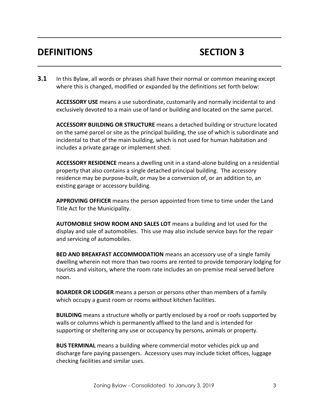# **DEFINITIONS SECTION 3**

**3.1** In this Bylaw, all words or phrases shall have their normal or common meaning except where this is changed, modified or expanded by the definitions set forth below:

**ACCESSORY USE** means a use subordinate, customarily and normally incidental to and exclusively devoted to a main use of land or building and located on the same parcel.

**ACCESSORY BUILDING OR STRUCTURE** means a detached building or structure located on the same parcel or site as the principal building, the use of which is subordinate and incidental to that of the main building, which is not used for human habitation and includes a private garage or implement shed.

**ACCESSORY RESIDENCE** means a dwelling unit in a stand-alone building on a residential property that also contains a single detached principal building. The accessory residence may be purpose-built, or may be a conversion of, or an addition to, an existing garage or accessory building.

**APPROVING OFFICER** means the person appointed from time to time under the Land Title Act for the Municipality.

**AUTOMOBILE SHOW ROOM AND SALES LOT** means a building and lot used for the display and sale of automobiles. This use may also include service bays for the repair and servicing of automobiles.

**BED AND BREAKFAST ACCOMMODATION** means an accessory use of a single family dwelling wherein not more than two rooms are rented to provide temporary lodging for tourists and visitors, where the room rate includes an on-premise meal served before noon.

**BOARDER OR LODGER** means a person or persons other than members of a family which occupy a guest room or rooms without kitchen facilities.

**BUILDING** means a structure wholly or partly enclosed by a roof or roofs supported by walls or columns which is permanently affixed to the land and is intended for supporting or sheltering any use or occupancy by persons, animals or property.

**BUS TERMINAL** means a building where commercial motor vehicles pick up and discharge fare paying passengers. Accessory uses may include ticket offices, luggage checking facilities and similar uses.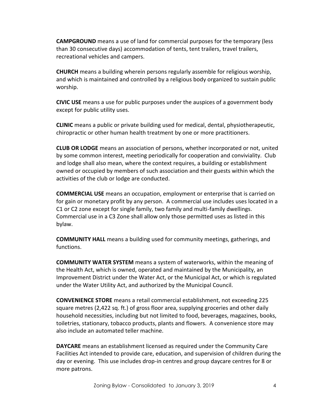**CAMPGROUND** means a use of land for commercial purposes for the temporary (less than 30 consecutive days) accommodation of tents, tent trailers, travel trailers, recreational vehicles and campers.

**CHURCH** means a building wherein persons regularly assemble for religious worship, and which is maintained and controlled by a religious body organized to sustain public worship.

**CIVIC USE** means a use for public purposes under the auspices of a government body except for public utility uses.

**CLINIC** means a public or private building used for medical, dental, physiotherapeutic, chiropractic or other human health treatment by one or more practitioners.

**CLUB OR LODGE** means an association of persons, whether incorporated or not, united by some common interest, meeting periodically for cooperation and conviviality. Club and lodge shall also mean, where the context requires, a building or establishment owned or occupied by members of such association and their guests within which the activities of the club or lodge are conducted.

**COMMERCIAL USE** means an occupation, employment or enterprise that is carried on for gain or monetary profit by any person. A commercial use includes uses located in a C1 or C2 zone except for single family, two family and multi-family dwellings. Commercial use in a C3 Zone shall allow only those permitted uses as listed in this bylaw.

**COMMUNITY HALL** means a building used for community meetings, gatherings, and functions.

**COMMUNITY WATER SYSTEM** means a system of waterworks, within the meaning of the Health Act, which is owned, operated and maintained by the Municipality, an Improvement District under the Water Act, or the Municipal Act, or which is regulated under the Water Utility Act, and authorized by the Municipal Council.

**CONVENIENCE STORE** means a retail commercial establishment, not exceeding 225 square metres (2,422 sq. ft.) of gross floor area, supplying groceries and other daily household necessities, including but not limited to food, beverages, magazines, books, toiletries, stationary, tobacco products, plants and flowers. A convenience store may also include an automated teller machine.

**DAYCARE** means an establishment licensed as required under the Community Care Facilities Act intended to provide care, education, and supervision of children during the day or evening. This use includes drop-in centres and group daycare centres for 8 or more patrons.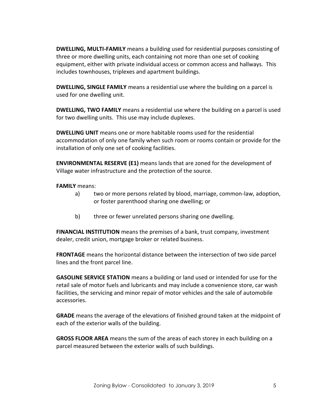**DWELLING, MULTI-FAMILY** means a building used for residential purposes consisting of three or more dwelling units, each containing not more than one set of cooking equipment, either with private individual access or common access and hallways. This includes townhouses, triplexes and apartment buildings.

**DWELLING, SINGLE FAMILY** means a residential use where the building on a parcel is used for one dwelling unit.

**DWELLING, TWO FAMILY** means a residential use where the building on a parcel is used for two dwelling units. This use may include duplexes.

**DWELLING UNIT** means one or more habitable rooms used for the residential accommodation of only one family when such room or rooms contain or provide for the installation of only one set of cooking facilities.

**ENVIRONMENTAL RESERVE (E1)** means lands that are zoned for the development of Village water infrastructure and the protection of the source.

**FAMILY** means:

- a) two or more persons related by blood, marriage, common-law, adoption, or foster parenthood sharing one dwelling; or
- b) three or fewer unrelated persons sharing one dwelling.

**FINANCIAL INSTITUTION** means the premises of a bank, trust company, investment dealer, credit union, mortgage broker or related business.

**FRONTAGE** means the horizontal distance between the intersection of two side parcel lines and the front parcel line.

**GASOLINE SERVICE STATION** means a building or land used or intended for use for the retail sale of motor fuels and lubricants and may include a convenience store, car wash facilities, the servicing and minor repair of motor vehicles and the sale of automobile accessories.

**GRADE** means the average of the elevations of finished ground taken at the midpoint of each of the exterior walls of the building.

**GROSS FLOOR AREA** means the sum of the areas of each storey in each building on a parcel measured between the exterior walls of such buildings.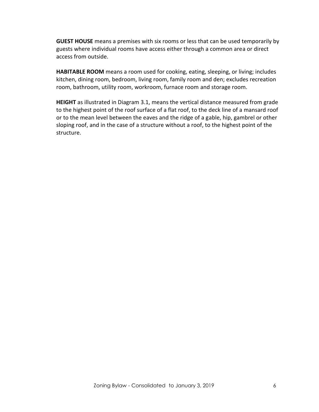**GUEST HOUSE** means a premises with six rooms or less that can be used temporarily by guests where individual rooms have access either through a common area or direct access from outside.

**HABITABLE ROOM** means a room used for cooking, eating, sleeping, or living; includes kitchen, dining room, bedroom, living room, family room and den; excludes recreation room, bathroom, utility room, workroom, furnace room and storage room.

**HEIGHT** as illustrated in Diagram 3.1, means the vertical distance measured from grade to the highest point of the roof surface of a flat roof, to the deck line of a mansard roof or to the mean level between the eaves and the ridge of a gable, hip, gambrel or other sloping roof, and in the case of a structure without a roof, to the highest point of the structure.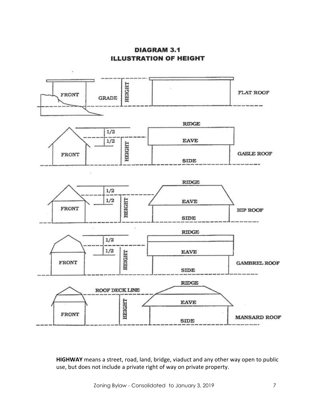**DIAGRAM 3.1 ILLUSTRATION OF HEIGHT** 



**HIGHWAY** means a street, road, land, bridge, viaduct and any other way open to public use, but does not include a private right of way on private property.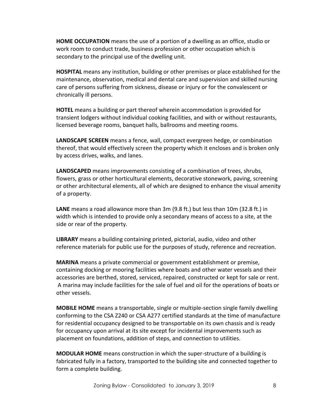**HOME OCCUPATION** means the use of a portion of a dwelling as an office, studio or work room to conduct trade, business profession or other occupation which is secondary to the principal use of the dwelling unit.

**HOSPITAL** means any institution, building or other premises or place established for the maintenance, observation, medical and dental care and supervision and skilled nursing care of persons suffering from sickness, disease or injury or for the convalescent or chronically ill persons.

**HOTEL** means a building or part thereof wherein accommodation is provided for transient lodgers without individual cooking facilities, and with or without restaurants, licensed beverage rooms, banquet halls, ballrooms and meeting rooms.

**LANDSCAPE SCREEN** means a fence, wall, compact evergreen hedge, or combination thereof, that would effectively screen the property which it encloses and is broken only by access drives, walks, and lanes.

**LANDSCAPED** means improvements consisting of a combination of trees, shrubs, flowers, grass or other horticultural elements, decorative stonework, paving, screening or other architectural elements, all of which are designed to enhance the visual amenity of a property.

**LANE** means a road allowance more than 3m (9.8 ft.) but less than 10m (32.8 ft.) in width which is intended to provide only a secondary means of access to a site, at the side or rear of the property.

**LIBRARY** means a building containing printed, pictorial, audio, video and other reference materials for public use for the purposes of study, reference and recreation.

**MARINA** means a private commercial or government establishment or premise, containing docking or mooring facilities where boats and other water vessels and their accessories are berthed, stored, serviced, repaired, constructed or kept for sale or rent. A marina may include facilities for the sale of fuel and oil for the operations of boats or other vessels.

**MOBILE HOME** means a transportable, single or multiple-section single family dwelling conforming to the CSA Z240 or CSA A277 certified standards at the time of manufacture for residential occupancy designed to be transportable on its own chassis and is ready for occupancy upon arrival at its site except for incidental improvements such as placement on foundations, addition of steps, and connection to utilities.

**MODULAR HOME** means construction in which the super-structure of a building is fabricated fully in a factory, transported to the building site and connected together to form a complete building.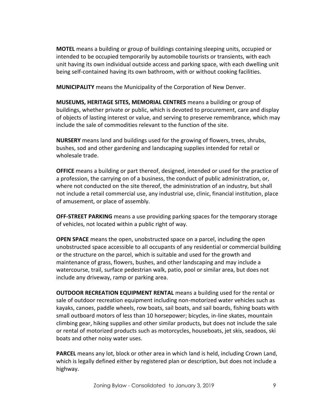**MOTEL** means a building or group of buildings containing sleeping units, occupied or intended to be occupied temporarily by automobile tourists or transients, with each unit having its own individual outside access and parking space, with each dwelling unit being self-contained having its own bathroom, with or without cooking facilities.

**MUNICIPALITY** means the Municipality of the Corporation of New Denver.

**MUSEUMS, HERITAGE SITES, MEMORIAL CENTRES** means a building or group of buildings, whether private or public, which is devoted to procurement, care and display of objects of lasting interest or value, and serving to preserve remembrance, which may include the sale of commodities relevant to the function of the site.

**NURSERY** means land and buildings used for the growing of flowers, trees, shrubs, bushes, sod and other gardening and landscaping supplies intended for retail or wholesale trade.

**OFFICE** means a building or part thereof, designed, intended or used for the practice of a profession, the carrying on of a business, the conduct of public administration, or, where not conducted on the site thereof, the administration of an industry, but shall not include a retail commercial use, any industrial use, clinic, financial institution, place of amusement, or place of assembly.

**OFF-STREET PARKING** means a use providing parking spaces for the temporary storage of vehicles, not located within a public right of way.

**OPEN SPACE** means the open, unobstructed space on a parcel, including the open unobstructed space accessible to all occupants of any residential or commercial building or the structure on the parcel, which is suitable and used for the growth and maintenance of grass, flowers, bushes, and other landscaping and may include a watercourse, trail, surface pedestrian walk, patio, pool or similar area, but does not include any driveway, ramp or parking area.

**OUTDOOR RECREATION EQUIPMENT RENTAL** means a building used for the rental or sale of outdoor recreation equipment including non-motorized water vehicles such as kayaks, canoes, paddle wheels, row boats, sail boats, and sail boards, fishing boats with small outboard motors of less than 10 horsepower; bicycles, in-line skates, mountain climbing gear, hiking supplies and other similar products, but does not include the sale or rental of motorized products such as motorcycles, houseboats, jet skis, seadoos, ski boats and other noisy water uses.

**PARCEL** means any lot, block or other area in which land is held, including Crown Land, which is legally defined either by registered plan or description, but does not include a highway.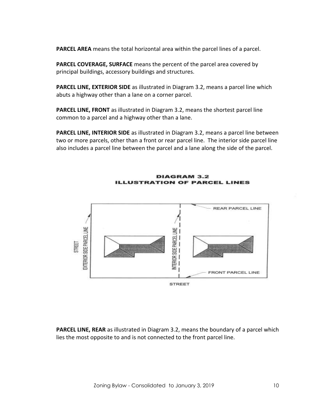**PARCEL AREA** means the total horizontal area within the parcel lines of a parcel.

**PARCEL COVERAGE, SURFACE** means the percent of the parcel area covered by principal buildings, accessory buildings and structures.

**PARCEL LINE, EXTERIOR SIDE** as illustrated in Diagram 3.2, means a parcel line which abuts a highway other than a lane on a corner parcel.

**PARCEL LINE, FRONT** as illustrated in Diagram 3.2, means the shortest parcel line common to a parcel and a highway other than a lane.

**PARCEL LINE, INTERIOR SIDE** as illustrated in Diagram 3.2, means a parcel line between two or more parcels, other than a front or rear parcel line. The interior side parcel line also includes a parcel line between the parcel and a lane along the side of the parcel.



**DIAGRAM 3.2 ILLUSTRATION OF PARCEL LINES** 

**PARCEL LINE, REAR** as illustrated in Diagram 3.2, means the boundary of a parcel which lies the most opposite to and is not connected to the front parcel line.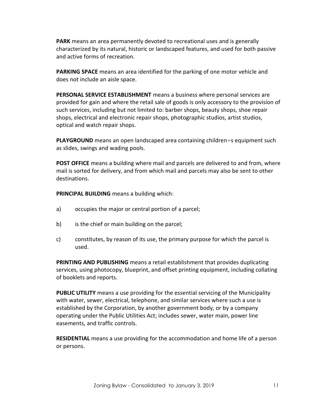**PARK** means an area permanently devoted to recreational uses and is generally characterized by its natural, historic or landscaped features, and used for both passive and active forms of recreation.

**PARKING SPACE** means an area identified for the parking of one motor vehicle and does not include an aisle space.

**PERSONAL SERVICE ESTABLISHMENT** means a business where personal services are provided for gain and where the retail sale of goods is only accessory to the provision of such services, including but not limited to: barber shops, beauty shops, shoe repair shops, electrical and electronic repair shops, photographic studios, artist studios, optical and watch repair shops.

**PLAYGROUND** means an open landscaped area containing children=s equipment such as slides, swings and wading pools.

**POST OFFICE** means a building where mail and parcels are delivered to and from, where mail is sorted for delivery, and from which mail and parcels may also be sent to other destinations.

**PRINCIPAL BUILDING** means a building which:

- a) occupies the major or central portion of a parcel;
- b) is the chief or main building on the parcel;
- c) constitutes, by reason of its use, the primary purpose for which the parcel is used.

**PRINTING AND PUBLISHING** means a retail establishment that provides duplicating services, using photocopy, blueprint, and offset printing equipment, including collating of booklets and reports.

**PUBLIC UTILITY** means a use providing for the essential servicing of the Municipality with water, sewer, electrical, telephone, and similar services where such a use is established by the Corporation, by another government body, or by a company operating under the Public Utilities Act; includes sewer, water main, power line easements, and traffic controls.

**RESIDENTIAL** means a use providing for the accommodation and home life of a person or persons.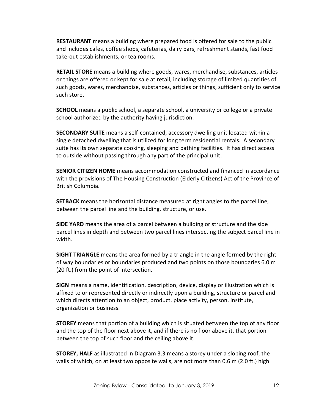**RESTAURANT** means a building where prepared food is offered for sale to the public and includes cafes, coffee shops, cafeterias, dairy bars, refreshment stands, fast food take-out establishments, or tea rooms.

**RETAIL STORE** means a building where goods, wares, merchandise, substances, articles or things are offered or kept for sale at retail, including storage of limited quantities of such goods, wares, merchandise, substances, articles or things, sufficient only to service such store.

**SCHOOL** means a public school, a separate school, a university or college or a private school authorized by the authority having jurisdiction.

**SECONDARY SUITE** means a self-contained, accessory dwelling unit located within a single detached dwelling that is utilized for long term residential rentals. A secondary suite has its own separate cooking, sleeping and bathing facilities. It has direct access to outside without passing through any part of the principal unit.

**SENIOR CITIZEN HOME** means accommodation constructed and financed in accordance with the provisions of The Housing Construction (Elderly Citizens) Act of the Province of British Columbia.

**SETBACK** means the horizontal distance measured at right angles to the parcel line, between the parcel line and the building, structure, or use.

**SIDE YARD** means the area of a parcel between a building or structure and the side parcel lines in depth and between two parcel lines intersecting the subject parcel line in width.

**SIGHT TRIANGLE** means the area formed by a triangle in the angle formed by the right of way boundaries or boundaries produced and two points on those boundaries 6.0 m (20 ft.) from the point of intersection.

**SIGN** means a name, identification, description, device, display or illustration which is affixed to or represented directly or indirectly upon a building, structure or parcel and which directs attention to an object, product, place activity, person, institute, organization or business.

**STOREY** means that portion of a building which is situated between the top of any floor and the top of the floor next above it, and if there is no floor above it, that portion between the top of such floor and the ceiling above it.

**STOREY, HALF** as illustrated in Diagram 3.3 means a storey under a sloping roof, the walls of which, on at least two opposite walls, are not more than 0.6 m (2.0 ft.) high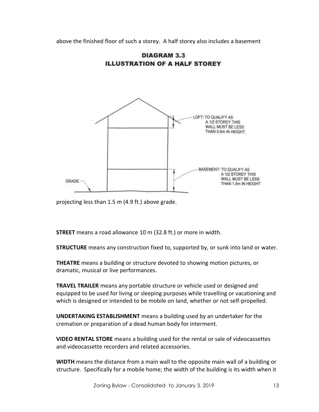above the finished floor of such a storey. A half storey also includes a basement





projecting less than 1.5 m (4.9 ft.) above grade.

**STREET** means a road allowance 10 m (32.8 ft.) or more in width.

**STRUCTURE** means any construction fixed to, supported by, or sunk into land or water.

**THEATRE** means a building or structure devoted to showing motion pictures, or dramatic, musical or live performances.

**TRAVEL TRAILER** means any portable structure or vehicle used or designed and equipped to be used for living or sleeping purposes while travelling or vacationing and which is designed or intended to be mobile on land, whether or not self-propelled.

**UNDERTAKING ESTABLISHMENT** means a building used by an undertaker for the cremation or preparation of a dead human body for interment.

**VIDEO RENTAL STORE** means a building used for the rental or sale of videocassettes and videocassette recorders and related accessories.

**WIDTH** means the distance from a main wall to the opposite main wall of a building or structure. Specifically for a mobile home; the width of the building is its width when it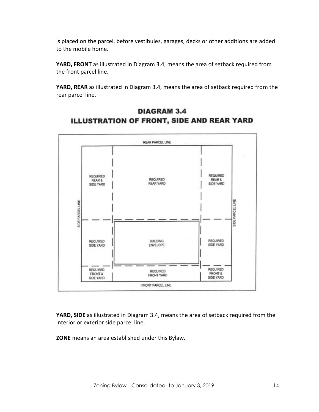is placed on the parcel, before vestibules, garages, decks or other additions are added to the mobile home.

**YARD, FRONT** as illustrated in Diagram 3.4, means the area of setback required from the front parcel line.

**YARD, REAR** as illustrated in Diagram 3.4, means the area of setback required from the rear parcel line.



# **DIAGRAM 3.4** ILLUSTRATION OF FRONT, SIDE AND REAR YARD

**YARD, SIDE** as illustrated in Diagram 3.4, means the area of setback required from the interior or exterior side parcel line.

**ZONE** means an area established under this Bylaw.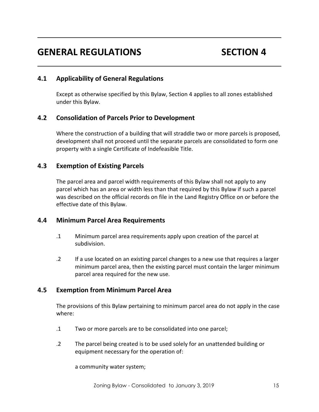# **GENERAL REGULATIONS SECTION 4**

# **4.1 Applicability of General Regulations**

Except as otherwise specified by this Bylaw, Section 4 applies to all zones established under this Bylaw.

# **4.2 Consolidation of Parcels Prior to Development**

Where the construction of a building that will straddle two or more parcels is proposed, development shall not proceed until the separate parcels are consolidated to form one property with a single Certificate of Indefeasible Title.

# **4.3 Exemption of Existing Parcels**

The parcel area and parcel width requirements of this Bylaw shall not apply to any parcel which has an area or width less than that required by this Bylaw if such a parcel was described on the official records on file in the Land Registry Office on or before the effective date of this Bylaw.

# **4.4 Minimum Parcel Area Requirements**

- .1 Minimum parcel area requirements apply upon creation of the parcel at subdivision.
- .2 If a use located on an existing parcel changes to a new use that requires a larger minimum parcel area, then the existing parcel must contain the larger minimum parcel area required for the new use.

# **4.5 Exemption from Minimum Parcel Area**

The provisions of this Bylaw pertaining to minimum parcel area do not apply in the case where:

- .1 Two or more parcels are to be consolidated into one parcel;
- .2 The parcel being created is to be used solely for an unattended building or equipment necessary for the operation of:

a community water system;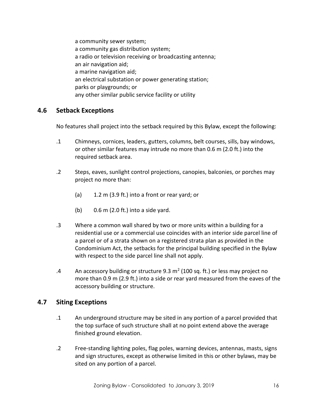a community sewer system; a community gas distribution system; a radio or television receiving or broadcasting antenna; an air navigation aid; a marine navigation aid; an electrical substation or power generating station; parks or playgrounds; or any other similar public service facility or utility

# **4.6 Setback Exceptions**

No features shall project into the setback required by this Bylaw, except the following:

- .1 Chimneys, cornices, leaders, gutters, columns, belt courses, sills, bay windows, or other similar features may intrude no more than 0.6 m (2.0 ft.) into the required setback area.
- .2 Steps, eaves, sunlight control projections, canopies, balconies, or porches may project no more than:
	- (a) 1.2 m (3.9 ft.) into a front or rear yard; or
	- (b)  $0.6 \text{ m}$  (2.0 ft.) into a side yard.
- .3 Where a common wall shared by two or more units within a building for a residential use or a commercial use coincides with an interior side parcel line of a parcel or of a strata shown on a registered strata plan as provided in the Condominium Act, the setbacks for the principal building specified in the Bylaw with respect to the side parcel line shall not apply.
- .4 An accessory building or structure 9.3 m<sup>2</sup> (100 sq. ft.) or less may project no more than 0.9 m (2.9 ft.) into a side or rear yard measured from the eaves of the accessory building or structure.

# **4.7 Siting Exceptions**

- .1 An underground structure may be sited in any portion of a parcel provided that the top surface of such structure shall at no point extend above the average finished ground elevation.
- .2 Free-standing lighting poles, flag poles, warning devices, antennas, masts, signs and sign structures, except as otherwise limited in this or other bylaws, may be sited on any portion of a parcel.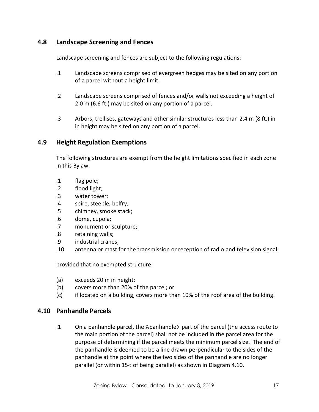# **4.8 Landscape Screening and Fences**

Landscape screening and fences are subject to the following regulations:

- .1 Landscape screens comprised of evergreen hedges may be sited on any portion of a parcel without a height limit.
- .2 Landscape screens comprised of fences and/or walls not exceeding a height of 2.0 m (6.6 ft.) may be sited on any portion of a parcel.
- .3 Arbors, trellises, gateways and other similar structures less than 2.4 m (8 ft.) in in height may be sited on any portion of a parcel.

# **4.9 Height Regulation Exemptions**

The following structures are exempt from the height limitations specified in each zone in this Bylaw:

- .1 flag pole;
- .2 flood light;
- .3 water tower;
- .4 spire, steeple, belfry;
- .5 chimney, smoke stack;
- .6 dome, cupola;
- .7 monument or sculpture;
- .8 retaining walls;
- .9 industrial cranes;
- .10 antenna or mast for the transmission or reception of radio and television signal;

provided that no exempted structure:

- (a) exceeds 20 m in height;
- (b) covers more than 20% of the parcel; or
- (c) if located on a building, covers more than 10% of the roof area of the building.

# **4.10 Panhandle Parcels**

.1 On a panhandle parcel, the Apanhandle@ part of the parcel (the access route to the main portion of the parcel) shall not be included in the parcel area for the purpose of determining if the parcel meets the minimum parcel size. The end of the panhandle is deemed to be a line drawn perpendicular to the sides of the panhandle at the point where the two sides of the panhandle are no longer parallel (or within  $15 <$  of being parallel) as shown in Diagram 4.10.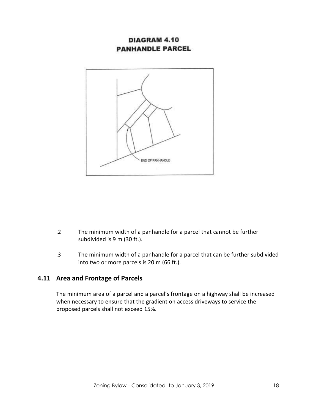# DIAGRAM 4.10 **PANHANDLE PARCEL**



- .2 The minimum width of a panhandle for a parcel that cannot be further subdivided is 9 m (30 ft.).
- .3 The minimum width of a panhandle for a parcel that can be further subdivided into two or more parcels is 20 m (66 ft.).

# **4.11 Area and Frontage of Parcels**

The minimum area of a parcel and a parcel's frontage on a highway shall be increased when necessary to ensure that the gradient on access driveways to service the proposed parcels shall not exceed 15%.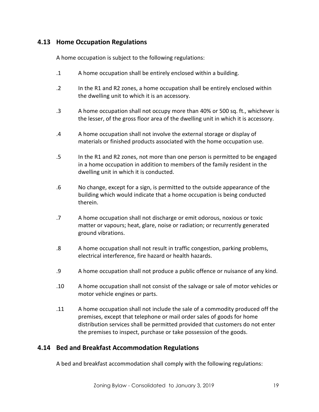# **4.13 Home Occupation Regulations**

A home occupation is subject to the following regulations:

- .1 A home occupation shall be entirely enclosed within a building.
- .2 In the R1 and R2 zones, a home occupation shall be entirely enclosed within the dwelling unit to which it is an accessory.
- .3 A home occupation shall not occupy more than 40% or 500 sq. ft., whichever is the lesser, of the gross floor area of the dwelling unit in which it is accessory.
- .4 A home occupation shall not involve the external storage or display of materials or finished products associated with the home occupation use.
- .5 In the R1 and R2 zones, not more than one person is permitted to be engaged in a home occupation in addition to members of the family resident in the dwelling unit in which it is conducted.
- .6 No change, except for a sign, is permitted to the outside appearance of the building which would indicate that a home occupation is being conducted therein.
- .7 A home occupation shall not discharge or emit odorous, noxious or toxic matter or vapours; heat, glare, noise or radiation; or recurrently generated ground vibrations.
- .8 A home occupation shall not result in traffic congestion, parking problems, electrical interference, fire hazard or health hazards.
- .9 A home occupation shall not produce a public offence or nuisance of any kind.
- .10 A home occupation shall not consist of the salvage or sale of motor vehicles or motor vehicle engines or parts.
- .11 A home occupation shall not include the sale of a commodity produced off the premises, except that telephone or mail order sales of goods for home distribution services shall be permitted provided that customers do not enter the premises to inspect, purchase or take possession of the goods.

# **4.14 Bed and Breakfast Accommodation Regulations**

A bed and breakfast accommodation shall comply with the following regulations: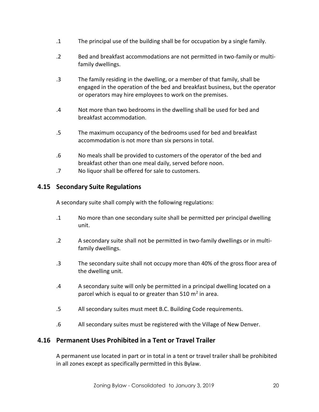- .1 The principal use of the building shall be for occupation by a single family.
- .2 Bed and breakfast accommodations are not permitted in two-family or multifamily dwellings.
- .3 The family residing in the dwelling, or a member of that family, shall be engaged in the operation of the bed and breakfast business, but the operator or operators may hire employees to work on the premises.
- .4 Not more than two bedrooms in the dwelling shall be used for bed and breakfast accommodation.
- .5 The maximum occupancy of the bedrooms used for bed and breakfast accommodation is not more than six persons in total.
- .6 No meals shall be provided to customers of the operator of the bed and breakfast other than one meal daily, served before noon.
- .7 No liquor shall be offered for sale to customers.

# **4.15 Secondary Suite Regulations**

A secondary suite shall comply with the following regulations:

- .1 No more than one secondary suite shall be permitted per principal dwelling unit.
- .2 A secondary suite shall not be permitted in two-family dwellings or in multifamily dwellings.
- .3 The secondary suite shall not occupy more than 40% of the gross floor area of the dwelling unit.
- .4 A secondary suite will only be permitted in a principal dwelling located on a parcel which is equal to or greater than 510  $m^2$  in area.
- .5 All secondary suites must meet B.C. Building Code requirements.
- .6 All secondary suites must be registered with the Village of New Denver.

# **4.16 Permanent Uses Prohibited in a Tent or Travel Trailer**

A permanent use located in part or in total in a tent or travel trailer shall be prohibited in all zones except as specifically permitted in this Bylaw.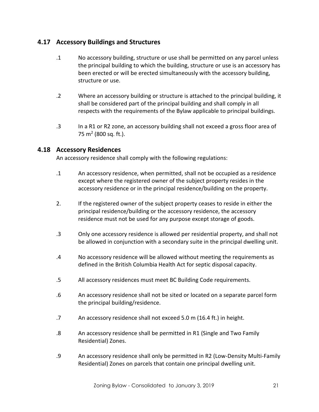# **4.17 Accessory Buildings and Structures**

- .1 No accessory building, structure or use shall be permitted on any parcel unless the principal building to which the building, structure or use is an accessory has been erected or will be erected simultaneously with the accessory building, structure or use.
- .2 Where an accessory building or structure is attached to the principal building, it shall be considered part of the principal building and shall comply in all respects with the requirements of the Bylaw applicable to principal buildings.
- .3 In a R1 or R2 zone, an accessory building shall not exceed a gross floor area of 75 m<sup>2</sup> (800 sq. ft.).

# **4.18 Accessory Residences**

An accessory residence shall comply with the following regulations:

- .1 An accessory residence, when permitted, shall not be occupied as a residence except where the registered owner of the subject property resides in the accessory residence or in the principal residence/building on the property.
- 2. If the registered owner of the subject property ceases to reside in either the principal residence/building or the accessory residence, the accessory residence must not be used for any purpose except storage of goods.
- .3 Only one accessory residence is allowed per residential property, and shall not be allowed in conjunction with a secondary suite in the principal dwelling unit.
- .4 No accessory residence will be allowed without meeting the requirements as defined in the British Columbia Health Act for septic disposal capacity.
- .5 All accessory residences must meet BC Building Code requirements.
- .6 An accessory residence shall not be sited or located on a separate parcel form the principal building/residence.
- .7 An accessory residence shall not exceed 5.0 m (16.4 ft.) in height.
- .8 An accessory residence shall be permitted in R1 (Single and Two Family Residential) Zones.
- .9 An accessory residence shall only be permitted in R2 (Low-Density Multi-Family Residential) Zones on parcels that contain one principal dwelling unit.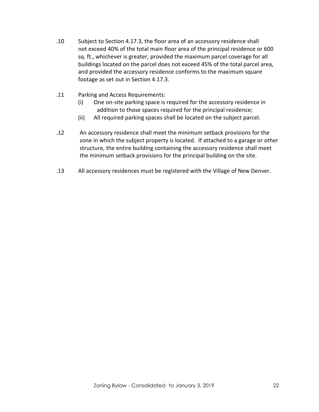- .10 Subject to Section 4.17.3, the floor area of an accessory residence shall not exceed 40% of the total main floor area of the principal residence or 600 sq. ft., whichever is greater, provided the maximum parcel coverage for all buildings located on the parcel does not exceed 45% of the total parcel area, and provided the accessory residence conforms to the maximum square footage as set out in Section 4.17.3.
- .11 Parking and Access Requirements:
	- (i) One on-site parking space is required for the accessory residence in addition to those spaces required for the principal residence;
	- (ii) All required parking spaces shall be located on the subject parcel.
- .12 An accessory residence shall meet the minimum setback provisions for the zone in which the subject property is located. If attached to a garage or other structure, the entire building containing the accessory residence shall meet the minimum setback provisions for the principal building on the site.
- .13 All accessory residences must be registered with the Village of New Denver.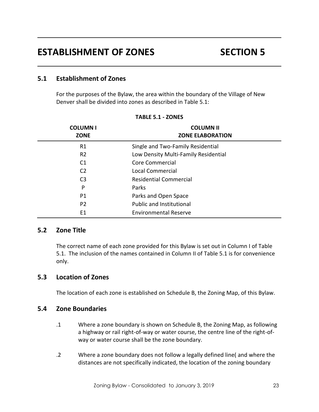# **5.1 Establishment of Zones**

For the purposes of the Bylaw, the area within the boundary of the Village of New Denver shall be divided into zones as described in Table 5.1:

| <b>COLUMN I</b><br><b>ZONE</b> | <b>COLUMN II</b><br><b>ZONE ELABORATION</b> |
|--------------------------------|---------------------------------------------|
| R1                             | Single and Two-Family Residential           |
| R <sub>2</sub>                 | Low Density Multi-Family Residential        |
| C <sub>1</sub>                 | Core Commercial                             |
| C <sub>2</sub>                 | Local Commercial                            |
| C <sub>3</sub>                 | <b>Residential Commercial</b>               |
| P                              | Parks                                       |
| P1                             | Parks and Open Space                        |
| P <sub>2</sub>                 | <b>Public and Institutional</b>             |
| E1                             | <b>Environmental Reserve</b>                |

#### **TABLE 5.1 - ZONES**

# **5.2 Zone Title**

The correct name of each zone provided for this Bylaw is set out in Column I of Table 5.1. The inclusion of the names contained in Column II of Table 5.1 is for convenience only.

# **5.3 Location of Zones**

The location of each zone is established on Schedule B, the Zoning Map, of this Bylaw.

# **5.4 Zone Boundaries**

- .1 Where a zone boundary is shown on Schedule B, the Zoning Map, as following a highway or rail right-of-way or water course, the centre line of the right-ofway or water course shall be the zone boundary.
- .2 Where a zone boundary does not follow a legally defined line( and where the distances are not specifically indicated, the location of the zoning boundary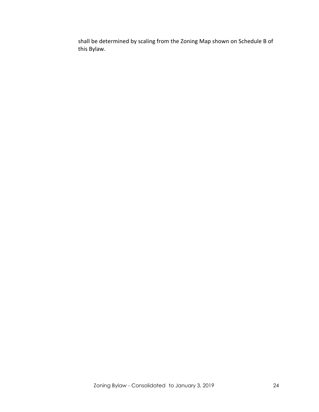shall be determined by scaling from the Zoning Map shown on Schedule B of this Bylaw.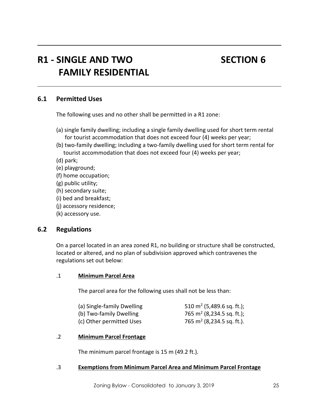# **R1 - SINGLE AND TWO SECTION 6 FAMILY RESIDENTIAL**

# **6.1 Permitted Uses**

The following uses and no other shall be permitted in a R1 zone:

- (a) single family dwelling; including a single family dwelling used for short term rental for tourist accommodation that does not exceed four (4) weeks per year;
- (b) two-family dwelling; including a two-family dwelling used for short term rental for tourist accommodation that does not exceed four (4) weeks per year;

(d) park;

- (e) playground;
- (f) home occupation;
- (g) public utility;
- (h) secondary suite;
- (i) bed and breakfast;
- (j) accessory residence;
- (k) accessory use.

# **6.2 Regulations**

On a parcel located in an area zoned R1, no building or structure shall be constructed, located or altered, and no plan of subdivision approved which contravenes the regulations set out below:

#### .1 **Minimum Parcel Area**

The parcel area for the following uses shall not be less than:

| (a) Single-family Dwelling | 510 m <sup>2</sup> (5,489.6 sq. ft.); |
|----------------------------|---------------------------------------|
| (b) Two-family Dwelling    | 765 m <sup>2</sup> (8,234.5 sq. ft.); |
| (c) Other permitted Uses   | 765 m <sup>2</sup> (8,234.5 sq. ft.). |

#### .2 **Minimum Parcel Frontage**

The minimum parcel frontage is 15 m (49.2 ft.).

#### .3 **Exemptions from Minimum Parcel Area and Minimum Parcel Frontage**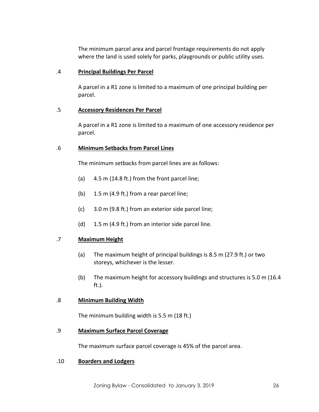The minimum parcel area and parcel frontage requirements do not apply where the land is used solely for parks, playgrounds or public utility uses.

## .4 **Principal Buildings Per Parcel**

A parcel in a R1 zone is limited to a maximum of one principal building per parcel.

# .5 **Accessory Residences Per Parcel**

A parcel in a R1 zone is limited to a maximum of one accessory residence per parcel.

### .6 **Minimum Setbacks from Parcel Lines**

The minimum setbacks from parcel lines are as follows:

- (a) 4.5 m (14.8 ft.) from the front parcel line;
- (b) 1.5 m (4.9 ft.) from a rear parcel line;
- (c) 3.0 m (9.8 ft.) from an exterior side parcel line;
- (d) 1.5 m (4.9 ft.) from an interior side parcel line.

#### .7 **Maximum Height**

- (a) The maximum height of principal buildings is 8.5 m (27.9 ft.) or two storeys, whichever is the lesser.
- (b) The maximum height for accessory buildings and structures is 5.0 m (16.4 ft.).

#### .8 **Minimum Building Width**

The minimum building width is 5.5 m (18 ft.)

#### .9 **Maximum Surface Parcel Coverage**

The maximum surface parcel coverage is 45% of the parcel area.

#### .10 **Boarders and Lodgers**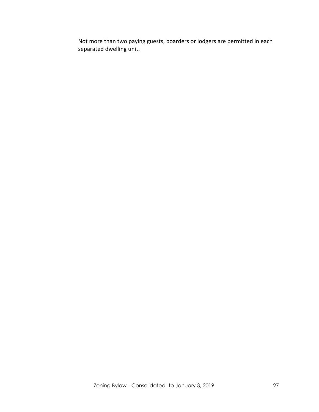Not more than two paying guests, boarders or lodgers are permitted in each separated dwelling unit.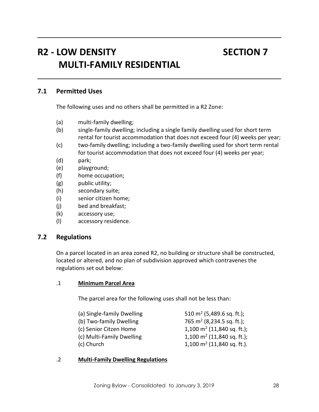# **R2 - LOW DENSITY SECTION 7 MULTI-FAMILY RESIDENTIAL**

# **7.1 Permitted Uses**

The following uses and no others shall be permitted in a R2 Zone:

- (a) multi-family dwelling;
- (b) single-family dwelling; including a single family dwelling used for short term rental for tourist accommodation that does not exceed four (4) weeks per year;
- (c) two-family dwelling; including a two-family dwelling used for short term rental for tourist accommodation that does not exceed four (4) weeks per year;
- (d) park;
- (e) playground;
- (f) home occupation;
- (g) public utility;
- (h) secondary suite;
- (i) senior citizen home;
- (j) bed and breakfast;
- (k) accessory use;
- (l) accessory residence.

# **7.2 Regulations**

On a parcel located in an area zoned R2, no building or structure shall be constructed, located or altered, and no plan of subdivision approved which contravenes the regulations set out below:

#### .1 **Minimum Parcel Area**

The parcel area for the following uses shall not be less than:

| 510 m <sup>2</sup> (5,489.6 sq. ft.);  |  |
|----------------------------------------|--|
| 765 m <sup>2</sup> (8,234.5 sq. ft.);  |  |
| 1,100 m <sup>2</sup> (11,840 sq. ft.); |  |
| 1,100 m <sup>2</sup> (11,840 sq. ft.); |  |
| 1,100 $m2$ (11,840 sq. ft.).           |  |
|                                        |  |

#### .2 **Multi-Family Dwelling Regulations**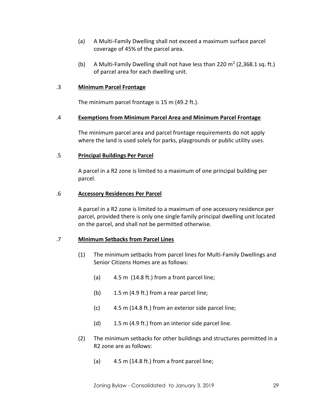- (a) A Multi-Family Dwelling shall not exceed a maximum surface parcel coverage of 45% of the parcel area.
- (b) A Multi-Family Dwelling shall not have less than 220  $m^2$  (2,368.1 sq. ft.) of parcel area for each dwelling unit.

### .3 **Minimum Parcel Frontage**

The minimum parcel frontage is 15 m (49.2 ft.).

### .4 **Exemptions from Minimum Parcel Area and Minimum Parcel Frontage**

The minimum parcel area and parcel frontage requirements do not apply where the land is used solely for parks, playgrounds or public utility uses.

#### .5 **Principal Buildings Per Parcel**

A parcel in a R2 zone is limited to a maximum of one principal building per parcel.

#### .6 **Accessory Residences Per Parcel**

A parcel in a R2 zone is limited to a maximum of one accessory residence per parcel, provided there is only one single family principal dwelling unit located on the parcel, and shall not be permitted otherwise.

# .7 **Minimum Setbacks from Parcel Lines**

- (1) The minimum setbacks from parcel lines for Multi-Family Dwellings and Senior Citizens Homes are as follows:
	- (a) 4.5 m (14.8 ft.) from a front parcel line;
	- (b) 1.5 m (4.9 ft.) from a rear parcel line;
	- (c) 4.5 m (14.8 ft.) from an exterior side parcel line;
	- (d) 1.5 m (4.9 ft.) from an interior side parcel line.
- (2) The minimum setbacks for other buildings and structures permitted in a R2 zone are as follows:
	- (a) 4.5 m (14.8 ft.) from a front parcel line;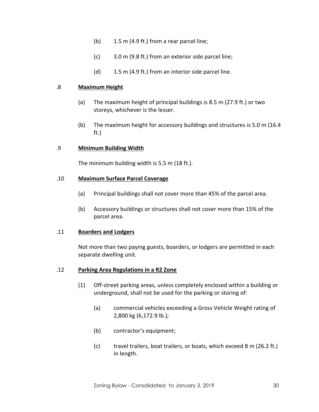- (b) 1.5 m (4.9 ft.) from a rear parcel line;
- (c) 3.0 m (9.8 ft.) from an exterior side parcel line;
- (d) 1.5 m (4.9 ft.) from an interior side parcel line.

#### .8 **Maximum Height**

- (a) The maximum height of principal buildings is 8.5 m (27.9 ft.) or two storeys, whichever is the lesser.
- (b) The maximum height for accessory buildings and structures is 5.0 m (16.4 ft.)

#### .9 **Minimum Building Width**

The minimum building width is 5.5 m (18 ft.).

#### .10 **Maximum Surface Parcel Coverage**

- (a) Principal buildings shall not cover more than 45% of the parcel area.
- (b) Accessory buildings or structures shall not cover more than 15% of the parcel area.

#### .11 **Boarders and Lodgers**

Not more than two paying guests, boarders, or lodgers are permitted in each separate dwelling unit.

#### .12 **Parking Area Regulations in a R2 Zone**

- (1) Off-street parking areas, unless completely enclosed within a building or underground, shall not be used for the parking or storing of:
	- (a) commercial vehicles exceeding a Gross Vehicle Weight rating of 2,800 kg (6,172.9 lb.);
	- (b) contractor's equipment;
	- (c) travel trailers, boat trailers, or boats, which exceed 8 m (26.2 ft.) in length.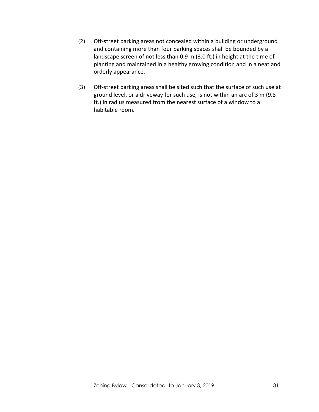- (2) Off-street parking areas not concealed within a building or underground and containing more than four parking spaces shall be bounded by a landscape screen of not less than 0.9 m (3.0 ft.) in height at the time of planting and maintained in a healthy growing condition and in a neat and orderly appearance.
- (3) Off-street parking areas shall be sited such that the surface of such use at ground level, or a driveway for such use, is not within an arc of 3 m (9.8 ft.) in radius measured from the nearest surface of a window to a habitable room.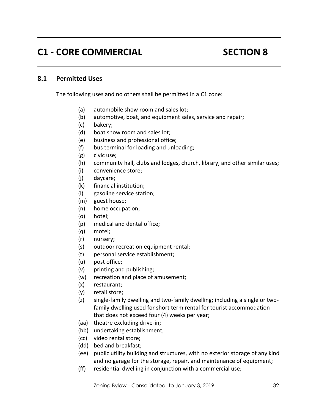# **C1 - CORE COMMERCIAL SECTION 8**

# **8.1 Permitted Uses**

The following uses and no others shall be permitted in a C1 zone:

- (a) automobile show room and sales lot;
- (b) automotive, boat, and equipment sales, service and repair;
- (c) bakery;
- (d) boat show room and sales lot;
- (e) business and professional office;
- (f) bus terminal for loading and unloading;
- (g) civic use;
- (h) community hall, clubs and lodges, church, library, and other similar uses;
- (i) convenience store;
- (j) daycare;
- (k) financial institution;
- (l) gasoline service station;
- (m) guest house;
- (n) home occupation;
- (o) hotel;
- (p) medical and dental office;
- (q) motel;
- (r) nursery;
- (s) outdoor recreation equipment rental;
- (t) personal service establishment;
- (u) post office;
- (v) printing and publishing;
- (w) recreation and place of amusement;
- (x) restaurant;
- (y) retail store;
- (z) single-family dwelling and two-family dwelling; including a single or twofamily dwelling used for short term rental for tourist accommodation that does not exceed four (4) weeks per year;
- (aa) theatre excluding drive-in;
- (bb) undertaking establishment;
- (cc) video rental store;
- (dd) bed and breakfast;
- (ee) public utility building and structures, with no exterior storage of any kind and no garage for the storage, repair, and maintenance of equipment;
- (ff) residential dwelling in conjunction with a commercial use;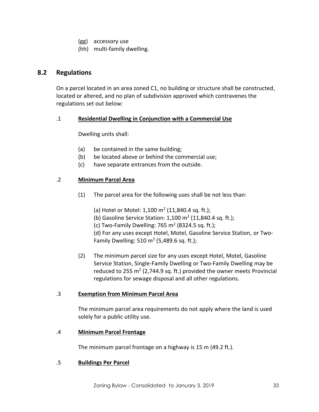- (gg) accessory use
- (hh) multi-family dwelling.

# **8.2 Regulations**

On a parcel located in an area zoned C1, no building or structure shall be constructed, located or altered, and no plan of subdivision approved which contravenes the regulations set out below:

# .1 **Residential Dwelling in Conjunction with a Commercial Use**

Dwelling units shall:

- (a) be contained in the same building;
- (b) be located above or behind the commercial use;
- (c) have separate entrances from the outside.

### .2 **Minimum Parcel Area**

(1) The parcel area for the following uses shall be not less than:

(a) Hotel or Motel:  $1,100 \text{ m}^2$  (11,840.4 sq. ft.);

(b) Gasoline Service Station:  $1,100$  m<sup>2</sup> (11,840.4 sq. ft.);

(c) Two-Family Dwelling: 765 m<sup>2</sup> (8324.5 sq. ft.);

(d) For any uses except Hotel, Motel, Gasoline Service Station, or Two-Family Dwelling: 510 m<sup>2</sup> (5,489.6 sq. ft.);

(2) The minimum parcel size for any uses except Hotel, Motel, Gasoline Service Station, Single-Family Dwelling or Two-Family Dwelling may be reduced to 255 m<sup>2</sup> (2,744.9 sq. ft.) provided the owner meets Provincial regulations for sewage disposal and all other regulations.

#### .3 **Exemption from Minimum Parcel Area**

The minimum parcel area requirements do not apply where the land is used solely for a public utility use.

#### .4 **Minimum Parcel Frontage**

The minimum parcel frontage on a highway is 15 m (49.2 ft.).

#### .5 **Buildings Per Parcel**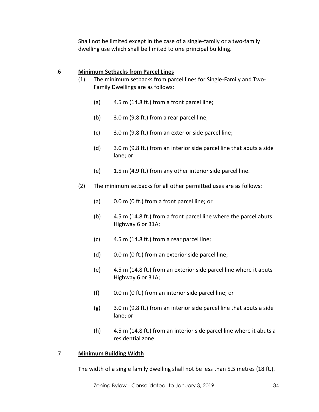Shall not be limited except in the case of a single-family or a two-family dwelling use which shall be limited to one principal building.

## .6 **Minimum Setbacks from Parcel Lines**

- (1) The minimum setbacks from parcel lines for Single-Family and Two-Family Dwellings are as follows:
	- (a) 4.5 m (14.8 ft.) from a front parcel line;
	- (b) 3.0 m (9.8 ft.) from a rear parcel line;
	- (c) 3.0 m (9.8 ft.) from an exterior side parcel line;
	- (d) 3.0 m (9.8 ft.) from an interior side parcel line that abuts a side lane; or
	- (e) 1.5 m (4.9 ft.) from any other interior side parcel line.
- (2) The minimum setbacks for all other permitted uses are as follows:
	- (a) 0.0 m (0 ft.) from a front parcel line; or
	- (b) 4.5 m (14.8 ft.) from a front parcel line where the parcel abuts Highway 6 or 31A;
	- (c) 4.5 m (14.8 ft.) from a rear parcel line;
	- (d) 0.0 m (0 ft.) from an exterior side parcel line;
	- (e) 4.5 m (14.8 ft.) from an exterior side parcel line where it abuts Highway 6 or 31A;
	- (f) 0.0 m (0 ft.) from an interior side parcel line; or
	- (g) 3.0 m (9.8 ft.) from an interior side parcel line that abuts a side lane; or
	- (h) 4.5 m (14.8 ft.) from an interior side parcel line where it abuts a residential zone.

#### .7 **Minimum Building Width**

The width of a single family dwelling shall not be less than 5.5 metres (18 ft.).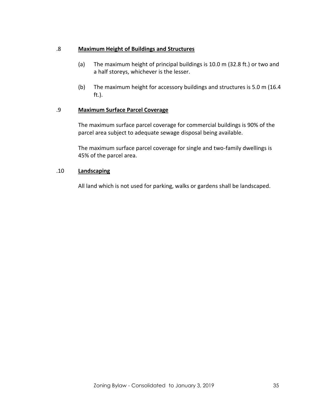### .8 **Maximum Height of Buildings and Structures**

- (a) The maximum height of principal buildings is 10.0 m (32.8 ft.) or two and a half storeys, whichever is the lesser.
- (b) The maximum height for accessory buildings and structures is 5.0 m (16.4 ft.).

### .9 **Maximum Surface Parcel Coverage**

The maximum surface parcel coverage for commercial buildings is 90% of the parcel area subject to adequate sewage disposal being available.

The maximum surface parcel coverage for single and two-family dwellings is 45% of the parcel area.

#### .10 **Landscaping**

All land which is not used for parking, walks or gardens shall be landscaped.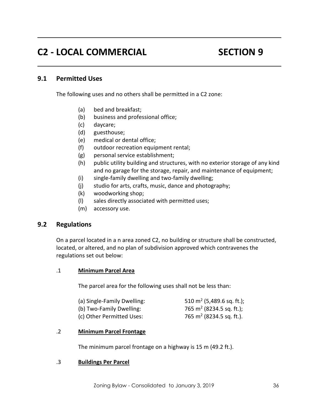# **C2 - LOCAL COMMERCIAL SECTION 9**

# **9.1 Permitted Uses**

The following uses and no others shall be permitted in a C2 zone:

- (a) bed and breakfast;
- (b) business and professional office;
- (c) daycare;
- (d) guesthouse;
- (e) medical or dental office;
- (f) outdoor recreation equipment rental;
- (g) personal service establishment;
- (h) public utility building and structures, with no exterior storage of any kind and no garage for the storage, repair, and maintenance of equipment;
- (i) single-family dwelling and two-family dwelling;
- (j) studio for arts, crafts, music, dance and photography;
- (k) woodworking shop;
- (l) sales directly associated with permitted uses;
- (m) accessory use.

# **9.2 Regulations**

On a parcel located in a n area zoned C2, no building or structure shall be constructed, located, or altered, and no plan of subdivision approved which contravenes the regulations set out below:

#### .1 **Minimum Parcel Area**

The parcel area for the following uses shall not be less than:

| (a) Single-Family Dwelling: | 510 m <sup>2</sup> (5,489.6 sq. ft.); |
|-----------------------------|---------------------------------------|
| (b) Two-Family Dwelling:    | 765 m <sup>2</sup> (8234.5 sq. ft.);  |
| (c) Other Permitted Uses:   | 765 m <sup>2</sup> (8234.5 sq. ft.).  |

#### .2 **Minimum Parcel Frontage**

The minimum parcel frontage on a highway is 15 m (49.2 ft.).

#### .3 **Buildings Per Parcel**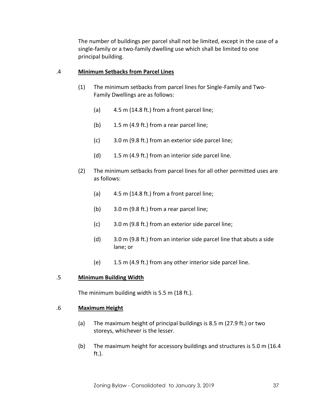The number of buildings per parcel shall not be limited, except in the case of a single-family or a two-family dwelling use which shall be limited to one principal building.

#### .4 **Minimum Setbacks from Parcel Lines**

- (1) The minimum setbacks from parcel lines for Single-Family and Two-Family Dwellings are as follows:
	- (a) 4.5 m (14.8 ft.) from a front parcel line;
	- (b) 1.5 m (4.9 ft.) from a rear parcel line;
	- (c) 3.0 m (9.8 ft.) from an exterior side parcel line;
	- (d) 1.5 m (4.9 ft.) from an interior side parcel line.
- (2) The minimum setbacks from parcel lines for all other permitted uses are as follows:
	- (a)  $4.5 \text{ m}$  (14.8 ft.) from a front parcel line;
	- (b) 3.0 m (9.8 ft.) from a rear parcel line;
	- (c) 3.0 m (9.8 ft.) from an exterior side parcel line;
	- (d) 3.0 m (9.8 ft.) from an interior side parcel line that abuts a side lane; or
	- (e) 1.5 m (4.9 ft.) from any other interior side parcel line.

# .5 **Minimum Building Width**

The minimum building width is 5.5 m (18 ft.).

#### .6 **Maximum Height**

- (a) The maximum height of principal buildings is 8.5 m (27.9 ft.) or two storeys, whichever is the lesser.
- (b) The maximum height for accessory buildings and structures is 5.0 m (16.4 ft.).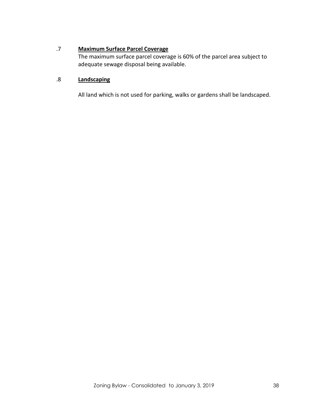# .7 **Maximum Surface Parcel Coverage**

The maximum surface parcel coverage is 60% of the parcel area subject to adequate sewage disposal being available.

# .8 **Landscaping**

All land which is not used for parking, walks or gardens shall be landscaped.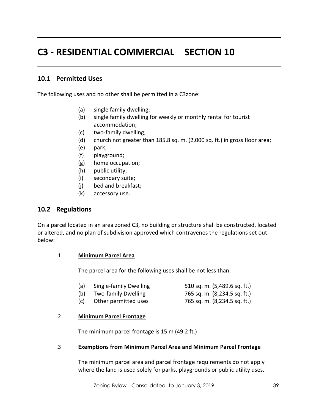# **C3 - RESIDENTIAL COMMERCIAL SECTION 10**

# **10.1 Permitted Uses**

The following uses and no other shall be permitted in a C3zone:

- (a) single family dwelling;
- (b) single family dwelling for weekly or monthly rental for tourist accommodation;
- (c) two-family dwelling;
- (d) church not greater than 185.8 sq. m. (2,000 sq. ft.) in gross floor area;
- (e) park;
- (f) playground;
- (g) home occupation;
- (h) public utility;
- (i) secondary suite;
- (j) bed and breakfast;
- (k) accessory use.

# **10.2 Regulations**

On a parcel located in an area zoned C3, no building or structure shall be constructed, located or altered, and no plan of subdivision approved which contravenes the regulations set out below:

#### .1 **Minimum Parcel Area**

The parcel area for the following uses shall be not less than:

- (a) Single-family Dwelling 510 sq. m. (5,489.6 sq. ft.)
- (b) Two-family Dwelling 765 sq. m. (8,234.5 sq. ft.)
- (c) Other permitted uses 765 sq. m. (8,234.5 sq. ft.)

#### .2 **Minimum Parcel Frontage**

The minimum parcel frontage is 15 m (49.2 ft.)

#### .3 **Exemptions from Minimum Parcel Area and Minimum Parcel Frontage**

The minimum parcel area and parcel frontage requirements do not apply where the land is used solely for parks, playgrounds or public utility uses.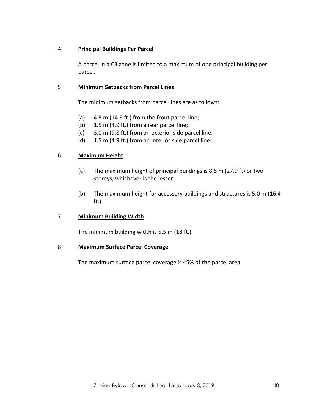### .4 **Principal Buildings Per Parcel**

A parcel in a C3 zone is limited to a maximum of one principal building per parcel.

### .5 **Minimum Setbacks from Parcel Lines**

The minimum setbacks from parcel lines are as follows:

- (a) 4.5 m (14.8 ft.) from the front parcel line;
- (b) 1.5 m (4.9 ft.) from a rear parcel line;
- (c) 3.0 m (9.8 ft.) from an exterior side parcel line;
- (d) 1.5 m (4.9 ft.) from an interior side parcel line.

### .6 **Maximum Height**

- (a) The maximum height of principal buildings is 8.5 m (27.9 ft) or two storeys, whichever is the lesser.
- (b) The maximum height for accessory buildings and structures is 5.0 m (16.4 ft.).

#### .7 **Minimum Building Width**

The minimum building width is 5.5 m (18 ft.).

#### .8 **Maximum Surface Parcel Coverage**

The maximum surface parcel coverage is 45% of the parcel area.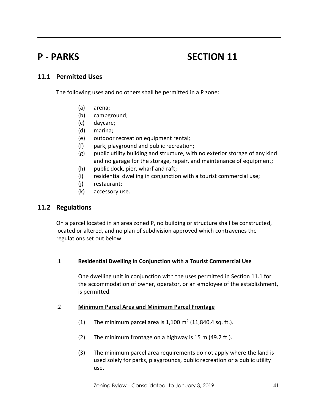# **P** - **PARKS** SECTION 11

# **11.1 Permitted Uses**

The following uses and no others shall be permitted in a P zone:

- (a) arena;
- (b) campground;
- (c) daycare;
- (d) marina;
- (e) outdoor recreation equipment rental;
- (f) park, playground and public recreation;
- (g) public utility building and structure, with no exterior storage of any kind and no garage for the storage, repair, and maintenance of equipment;
- (h) public dock, pier, wharf and raft;
- (i) residential dwelling in conjunction with a tourist commercial use;
- (j) restaurant;
- (k) accessory use.

# **11.2 Regulations**

On a parcel located in an area zoned P, no building or structure shall be constructed, located or altered, and no plan of subdivision approved which contravenes the regulations set out below:

#### .1 **Residential Dwelling in Conjunction with a Tourist Commercial Use**

One dwelling unit in conjunction with the uses permitted in Section 11.1 for the accommodation of owner, operator, or an employee of the establishment, is permitted.

#### .2 **Minimum Parcel Area and Minimum Parcel Frontage**

- (1) The minimum parcel area is  $1,100 \text{ m}^2$  (11,840.4 sq. ft.).
- (2) The minimum frontage on a highway is 15 m (49.2 ft.).
- (3) The minimum parcel area requirements do not apply where the land is used solely for parks, playgrounds, public recreation or a public utility use.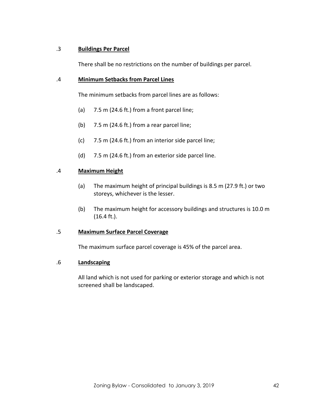### .3 **Buildings Per Parcel**

There shall be no restrictions on the number of buildings per parcel.

### .4 **Minimum Setbacks from Parcel Lines**

The minimum setbacks from parcel lines are as follows:

- (a) 7.5 m (24.6 ft.) from a front parcel line;
- (b) 7.5 m (24.6 ft.) from a rear parcel line;
- (c) 7.5 m (24.6 ft.) from an interior side parcel line;
- (d) 7.5 m (24.6 ft.) from an exterior side parcel line.

### .4 **Maximum Height**

- (a) The maximum height of principal buildings is 8.5 m (27.9 ft.) or two storeys, whichever is the lesser.
- (b) The maximum height for accessory buildings and structures is 10.0 m (16.4 ft.).

#### .5 **Maximum Surface Parcel Coverage**

The maximum surface parcel coverage is 45% of the parcel area.

#### .6 **Landscaping**

All land which is not used for parking or exterior storage and which is not screened shall be landscaped.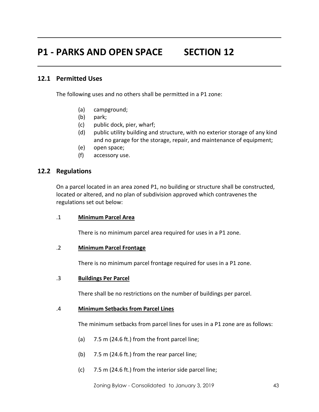# **P1 - PARKS AND OPEN SPACE SECTION 12**

# **12.1 Permitted Uses**

The following uses and no others shall be permitted in a P1 zone:

- (a) campground;
- (b) park;
- (c) public dock, pier, wharf;
- (d) public utility building and structure, with no exterior storage of any kind and no garage for the storage, repair, and maintenance of equipment;
- (e) open space;
- (f) accessory use.

### **12.2 Regulations**

On a parcel located in an area zoned P1, no building or structure shall be constructed, located or altered, and no plan of subdivision approved which contravenes the regulations set out below:

#### .1 **Minimum Parcel Area**

There is no minimum parcel area required for uses in a P1 zone.

#### .2 **Minimum Parcel Frontage**

There is no minimum parcel frontage required for uses in a P1 zone.

#### .3 **Buildings Per Parcel**

There shall be no restrictions on the number of buildings per parcel.

#### .4 **Minimum Setbacks from Parcel Lines**

The minimum setbacks from parcel lines for uses in a P1 zone are as follows:

- (a) 7.5 m (24.6 ft.) from the front parcel line;
- (b) 7.5 m (24.6 ft.) from the rear parcel line;
- (c) 7.5 m (24.6 ft.) from the interior side parcel line;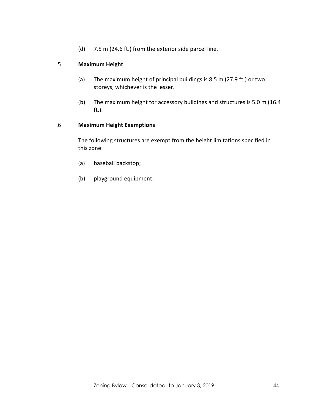(d) 7.5 m (24.6 ft.) from the exterior side parcel line.

# .5 **Maximum Height**

- (a) The maximum height of principal buildings is 8.5 m (27.9 ft.) or two storeys, whichever is the lesser.
- (b) The maximum height for accessory buildings and structures is 5.0 m (16.4 ft.).

#### .6 **Maximum Height Exemptions**

The following structures are exempt from the height limitations specified in this zone:

- (a) baseball backstop;
- (b) playground equipment.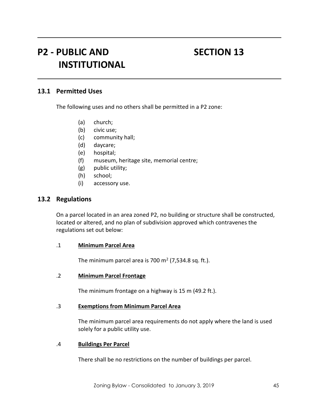# P2 - PUBLIC AND SECTION 13 **INSTITUTIONAL**

## **13.1 Permitted Uses**

The following uses and no others shall be permitted in a P2 zone:

- (a) church;
- (b) civic use;
- (c) community hall;
- (d) daycare;
- (e) hospital;
- (f) museum, heritage site, memorial centre;
- (g) public utility;
- (h) school;
- (i) accessory use.

#### **13.2 Regulations**

On a parcel located in an area zoned P2, no building or structure shall be constructed, located or altered, and no plan of subdivision approved which contravenes the regulations set out below:

#### .1 **Minimum Parcel Area**

The minimum parcel area is 700 m<sup>2</sup> (7,534.8 sq. ft.).

#### .2 **Minimum Parcel Frontage**

The minimum frontage on a highway is 15 m (49.2 ft.).

#### .3 **Exemptions from Minimum Parcel Area**

The minimum parcel area requirements do not apply where the land is used solely for a public utility use.

#### .4 **Buildings Per Parcel**

There shall be no restrictions on the number of buildings per parcel.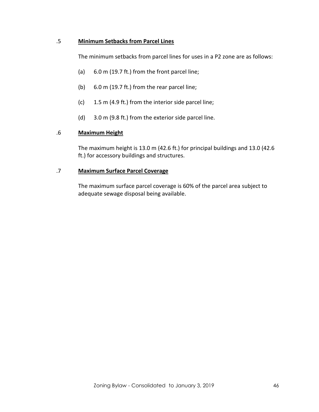### .5 **Minimum Setbacks from Parcel Lines**

The minimum setbacks from parcel lines for uses in a P2 zone are as follows:

- (a) 6.0 m (19.7 ft.) from the front parcel line;
- (b) 6.0 m (19.7 ft.) from the rear parcel line;
- (c) 1.5 m (4.9 ft.) from the interior side parcel line;
- (d) 3.0 m (9.8 ft.) from the exterior side parcel line.

### .6 **Maximum Height**

The maximum height is 13.0 m (42.6 ft.) for principal buildings and 13.0 (42.6 ft.) for accessory buildings and structures.

### .7 **Maximum Surface Parcel Coverage**

The maximum surface parcel coverage is 60% of the parcel area subject to adequate sewage disposal being available.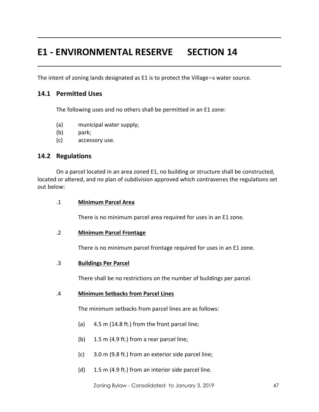# **E1 - ENVIRONMENTAL RESERVE SECTION 14**

The intent of zoning lands designated as E1 is to protect the Village=s water source.

# **14.1 Permitted Uses**

The following uses and no others shall be permitted in an E1 zone:

- (a) municipal water supply;
- (b) park;
- (c) accessory use.

### **14.2 Regulations**

On a parcel located in an area zoned E1, no building or structure shall be constructed, located or altered, and no plan of subdivision approved which contravenes the regulations set out below:

#### .1 **Minimum Parcel Area**

There is no minimum parcel area required for uses in an E1 zone.

#### .2 **Minimum Parcel Frontage**

There is no minimum parcel frontage required for uses in an E1 zone.

#### .3 **Buildings Per Parcel**

There shall be no restrictions on the number of buildings per parcel.

#### .4 **Minimum Setbacks from Parcel Lines**

The minimum setbacks from parcel lines are as follows:

- (a) 4.5 m (14.8 ft.) from the front parcel line;
- (b) 1.5 m (4.9 ft.) from a rear parcel line;
- (c) 3.0 m (9.8 ft.) from an exterior side parcel line;
- (d) 1.5 m (4.9 ft.) from an interior side parcel line.

Zoning Bylaw - Consolidated to January 3, 2019 47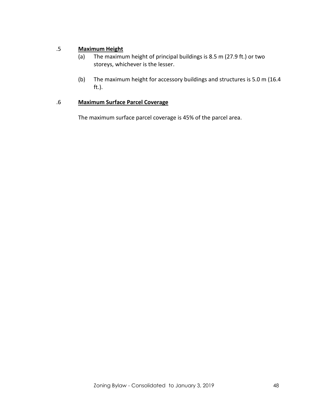# .5 **Maximum Height**

- (a) The maximum height of principal buildings is 8.5 m (27.9 ft.) or two storeys, whichever is the lesser.
- (b) The maximum height for accessory buildings and structures is 5.0 m (16.4 ft.).

# .6 **Maximum Surface Parcel Coverage**

The maximum surface parcel coverage is 45% of the parcel area.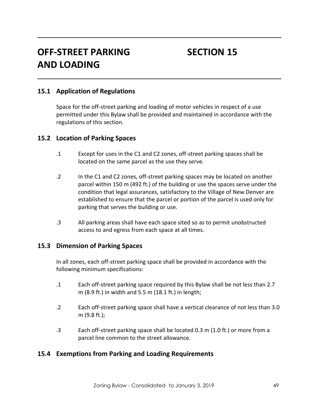# **OFF-STREET PARKING SECTION 15 AND LOADING**

# **15.1 Application of Regulations**

Space for the off-street parking and loading of motor vehicles in respect of a use permitted under this Bylaw shall be provided and maintained in accordance with the regulations of this section.

### **15.2 Location of Parking Spaces**

- .1 Except for uses in the C1 and C2 zones, off-street parking spaces shall be located on the same parcel as the use they serve.
- .2 In the C1 and C2 zones, off-street parking spaces may be located on another parcel within 150 m (492 ft.) of the building or use the spaces serve under the condition that legal assurances, satisfactory to the Village of New Denver are established to ensure that the parcel or portion of the parcel is used only for parking that serves the building or use.
- .3 All parking areas shall have each space sited so as to permit unobstructed access to and egress from each space at all times.

### **15.3 Dimension of Parking Spaces**

In all zones, each off-street parking space shall be provided in accordance with the following minimum specifications:

- .1 Each off-street parking space required by this Bylaw shall be not less than 2.7 m (8.9 ft.) in width and 5.5 m (18.1 ft.) in length;
- .2 Each off-street parking space shall have a vertical clearance of not less than 3.0 m (9.8 ft.);
- .3 Each off-street parking space shall be located 0.3 m (1.0 ft.) or more from a parcel line common to the street allowance.

# **15.4 Exemptions from Parking and Loading Requirements**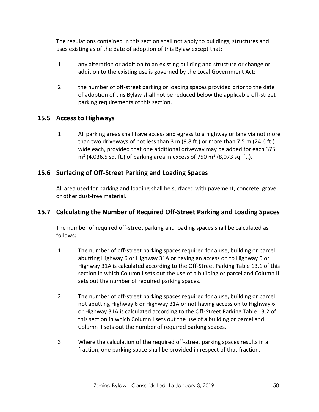The regulations contained in this section shall not apply to buildings, structures and uses existing as of the date of adoption of this Bylaw except that:

- .1 any alteration or addition to an existing building and structure or change or addition to the existing use is governed by the Local Government Act;
- .2 the number of off-street parking or loading spaces provided prior to the date of adoption of this Bylaw shall not be reduced below the applicable off-street parking requirements of this section.

# **15.5 Access to Highways**

.1 All parking areas shall have access and egress to a highway or lane via not more than two driveways of not less than 3 m (9.8 ft.) or more than 7.5 m (24.6 ft.) wide each, provided that one additional driveway may be added for each 375  $m<sup>2</sup>$  (4,036.5 sq. ft.) of parking area in excess of 750 m<sup>2</sup> (8,073 sq. ft.).

# **15.6 Surfacing of Off-Street Parking and Loading Spaces**

All area used for parking and loading shall be surfaced with pavement, concrete, gravel or other dust-free material.

# **15.7 Calculating the Number of Required Off-Street Parking and Loading Spaces**

The number of required off-street parking and loading spaces shall be calculated as follows:

- .1 The number of off-street parking spaces required for a use, building or parcel abutting Highway 6 or Highway 31A or having an access on to Highway 6 or Highway 31A is calculated according to the Off-Street Parking Table 13.1 of this section in which Column I sets out the use of a building or parcel and Column II sets out the number of required parking spaces.
- .2 The number of off-street parking spaces required for a use, building or parcel not abutting Highway 6 or Highway 31A or not having access on to Highway 6 or Highway 31A is calculated according to the Off-Street Parking Table 13.2 of this section in which Column I sets out the use of a building or parcel and Column II sets out the number of required parking spaces.
- .3 Where the calculation of the required off-street parking spaces results in a fraction, one parking space shall be provided in respect of that fraction.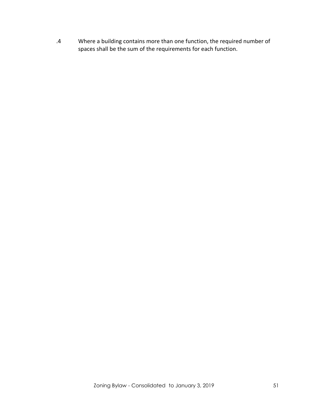.4 Where a building contains more than one function, the required number of spaces shall be the sum of the requirements for each function.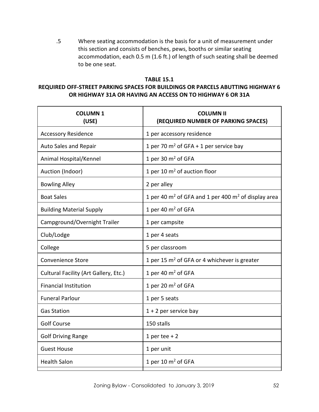.5 Where seating accommodation is the basis for a unit of measurement under this section and consists of benches, pews, booths or similar seating accommodation, each 0.5 m (1.6 ft.) of length of such seating shall be deemed to be one seat.

# **TABLE 15.1 REQUIRED OFF-STREET PARKING SPACES FOR BUILDINGS OR PARCELS ABUTTING HIGHWAY 6 OR HIGHWAY 31A OR HAVING AN ACCESS ON TO HIGHWAY 6 OR 31A**

| <b>COLUMN1</b><br>(USE)               | <b>COLUMN II</b><br>(REQUIRED NUMBER OF PARKING SPACES) |
|---------------------------------------|---------------------------------------------------------|
| <b>Accessory Residence</b>            | 1 per accessory residence                               |
| Auto Sales and Repair                 | 1 per 70 $m^2$ of GFA + 1 per service bay               |
| Animal Hospital/Kennel                | 1 per 30 $m2$ of GFA                                    |
| Auction (Indoor)                      | 1 per 10 $m2$ of auction floor                          |
| <b>Bowling Alley</b>                  | 2 per alley                                             |
| <b>Boat Sales</b>                     | 1 per 40 $m2$ of GFA and 1 per 400 $m2$ of display area |
| <b>Building Material Supply</b>       | 1 per 40 $m2$ of GFA                                    |
| Campground/Overnight Trailer          | 1 per campsite                                          |
| Club/Lodge                            | 1 per 4 seats                                           |
| College                               | 5 per classroom                                         |
| <b>Convenience Store</b>              | 1 per 15 $m2$ of GFA or 4 whichever is greater          |
| Cultural Facility (Art Gallery, Etc.) | 1 per 40 $m2$ of GFA                                    |
| <b>Financial Institution</b>          | 1 per 20 $m2$ of GFA                                    |
| <b>Funeral Parlour</b>                | 1 per 5 seats                                           |
| <b>Gas Station</b>                    | $1 + 2$ per service bay                                 |
| <b>Golf Course</b>                    | 150 stalls                                              |
| <b>Golf Driving Range</b>             | 1 per tee $+2$                                          |
| <b>Guest House</b>                    | 1 per unit                                              |
| <b>Health Salon</b>                   | 1 per 10 $m2$ of GFA                                    |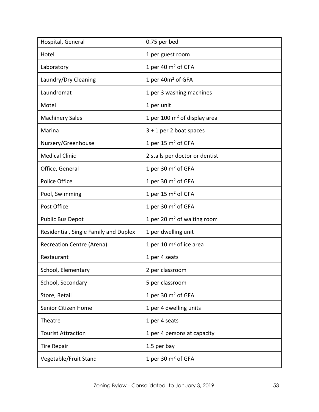| 0.75 per bed                   |
|--------------------------------|
| 1 per guest room               |
| 1 per 40 $m2$ of GFA           |
| 1 per 40m <sup>2</sup> of GFA  |
| 1 per 3 washing machines       |
| 1 per unit                     |
| 1 per 100 $m2$ of display area |
| $3 + 1$ per 2 boat spaces      |
| 1 per 15 $m2$ of GFA           |
| 2 stalls per doctor or dentist |
| 1 per 30 $m2$ of GFA           |
| 1 per 30 $m2$ of GFA           |
| 1 per 15 $m2$ of GFA           |
| 1 per 30 $m2$ of GFA           |
| 1 per 20 $m2$ of waiting room  |
| 1 per dwelling unit            |
| 1 per 10 $m2$ of ice area      |
| 1 per 4 seats                  |
| 2 per classroom                |
| 5 per classroom                |
| 1 per 30 $m2$ of GFA           |
| 1 per 4 dwelling units         |
| 1 per 4 seats                  |
| 1 per 4 persons at capacity    |
| 1.5 per bay                    |
| 1 per 30 $m2$ of GFA           |
|                                |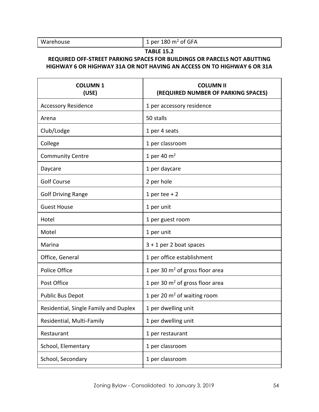Warehouse  $\int 1$  per 180 m<sup>2</sup> of GFA

# **TABLE 15.2**

# **REQUIRED OFF-STREET PARKING SPACES FOR BUILDINGS OR PARCELS NOT ABUTTING HIGHWAY 6 OR HIGHWAY 31A OR NOT HAVING AN ACCESS ON TO HIGHWAY 6 OR 31A**

| (REQUIRED NUMBER OF PARKING SPACES) |
|-------------------------------------|
| 1 per accessory residence           |
| 50 stalls                           |
| 1 per 4 seats                       |
| 1 per classroom                     |
| 1 per 40 $m2$                       |
| 1 per daycare                       |
| 2 per hole                          |
| 1 per tee $+2$                      |
| 1 per unit                          |
| 1 per guest room                    |
| 1 per unit                          |
| $3 + 1$ per 2 boat spaces           |
| 1 per office establishment          |
| 1 per 30 $m2$ of gross floor area   |
| 1 per 30 $m2$ of gross floor area   |
| 1 per 20 $m2$ of waiting room       |
| 1 per dwelling unit                 |
| 1 per dwelling unit                 |
| 1 per restaurant                    |
| 1 per classroom                     |
| 1 per classroom                     |
|                                     |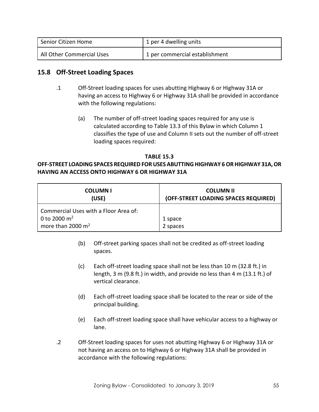| Senior Citizen Home       | 1 per 4 dwelling units         |
|---------------------------|--------------------------------|
| All Other Commercial Uses | 1 per commercial establishment |

# **15.8 Off-Street Loading Spaces**

- .1 Off-Street loading spaces for uses abutting Highway 6 or Highway 31A or having an access to Highway 6 or Highway 31A shall be provided in accordance with the following regulations:
	- (a) The number of off-street loading spaces required for any use is calculated according to Table 13.3 of this Bylaw in which Column 1 classifies the type of use and Column II sets out the number of off-street loading spaces required:

### **TABLE 15.3**

# **OFF-STREET LOADING SPACES REQUIRED FOR USES ABUTTING HIGHWAY 6 OR HIGHWAY 31A, OR HAVING AN ACCESS ONTO HIGHWAY 6 OR HIGHWAY 31A**

| <b>COLUMNI</b><br>(USE)               | <b>COLUMN II</b><br>(OFF-STREET LOADING SPACES REQUIRED) |
|---------------------------------------|----------------------------------------------------------|
| Commercial Uses with a Floor Area of: |                                                          |
| 0 to 2000 $m^2$                       | 1 space                                                  |
| more than 2000 $m2$                   | 2 spaces                                                 |

- (b) Off-street parking spaces shall not be credited as off-street loading spaces.
- (c) Each off-street loading space shall not be less than 10 m (32.8 ft.) in length, 3 m (9.8 ft.) in width, and provide no less than 4 m (13.1 ft.) of vertical clearance.
- (d) Each off-street loading space shall be located to the rear or side of the principal building.
- (e) Each off-street loading space shall have vehicular access to a highway or lane.
- .2 Off-Street loading spaces for uses not abutting Highway 6 or Highway 31A or not having an access on to Highway 6 or Highway 31A shall be provided in accordance with the following regulations: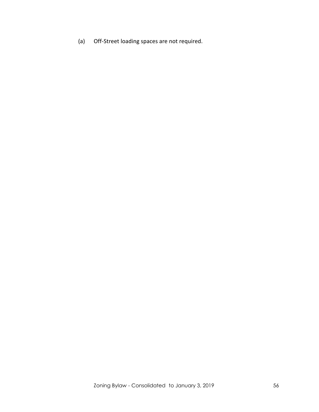(a) Off-Street loading spaces are not required.